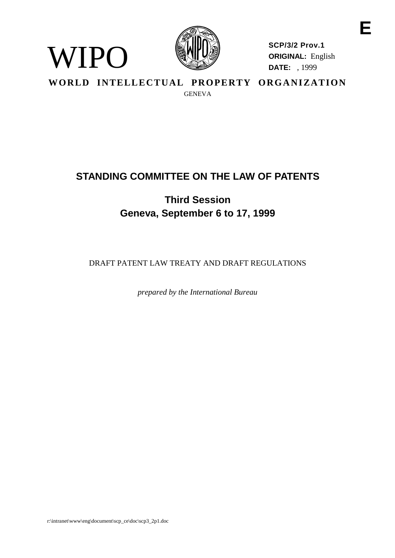

WIPO

**SCP/3/2 Prov.1 ORIGINAL:** English **DATE:** , 1999

**WORLD INTELLECTUAL PROPERTY ORGANIZATION** GENEVA

# **STANDING COMMITTEE ON THE LAW OF PATENTS**

**Third Session Geneva, September 6 to 17, 1999**

DRAFT PATENT LAW TREATY AND DRAFT REGULATIONS

*prepared by the International Bureau*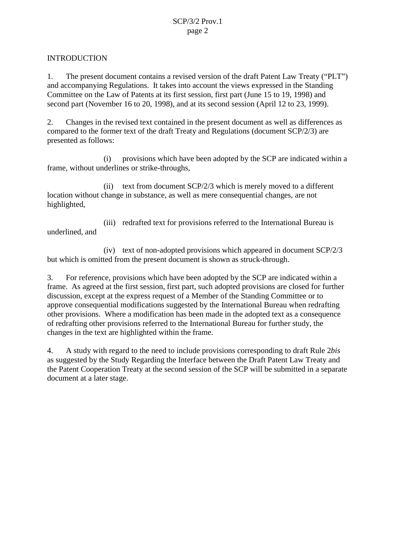#### INTRODUCTION

1. The present document contains a revised version of the draft Patent Law Treaty ("PLT") and accompanying Regulations. It takes into account the views expressed in the Standing Committee on the Law of Patents at its first session, first part (June 15 to 19, 1998) and second part (November 16 to 20, 1998), and at its second session (April 12 to 23, 1999).

2. Changes in the revised text contained in the present document as well as differences as compared to the former text of the draft Treaty and Regulations (document SCP/2/3) are presented as follows:

(i) provisions which have been adopted by the SCP are indicated within a frame, without underlines or strike-throughs,

(ii) text from document SCP/2/3 which is merely moved to a different location without change in substance, as well as mere consequential changes, are not highlighted,

(iii) redrafted text for provisions referred to the International Bureau is underlined, and

(iv) text of non-adopted provisions which appeared in document SCP/2/3 but which is omitted from the present document is shown as struck-through.

3. For reference, provisions which have been adopted by the SCP are indicated within a frame. As agreed at the first session, first part, such adopted provisions are closed for further discussion, except at the express request of a Member of the Standing Committee or to approve consequential modifications suggested by the International Bureau when redrafting other provisions. Where a modification has been made in the adopted text as a consequence of redrafting other provisions referred to the International Bureau for further study, the changes in the text are highlighted within the frame.

4. A study with regard to the need to include provisions corresponding to draft Rule 2*bis* as suggested by the Study Regarding the Interface between the Draft Patent Law Treaty and the Patent Cooperation Treaty at the second session of the SCP will be submitted in a separate document at a later stage.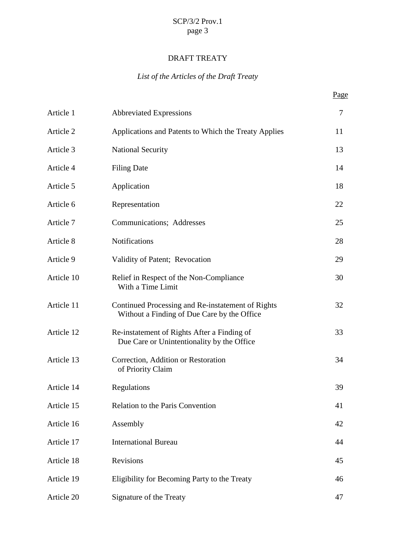## DRAFT TREATY

## *List of the Articles of the Draft Treaty*

| Article 1  | <b>Abbreviated Expressions</b>                                                                   | $\overline{7}$ |
|------------|--------------------------------------------------------------------------------------------------|----------------|
| Article 2  | Applications and Patents to Which the Treaty Applies                                             | 11             |
| Article 3  | <b>National Security</b>                                                                         | 13             |
| Article 4  | <b>Filing Date</b>                                                                               | 14             |
| Article 5  | Application                                                                                      | 18             |
| Article 6  | Representation                                                                                   | 22             |
| Article 7  | Communications; Addresses                                                                        | 25             |
| Article 8  | Notifications                                                                                    | 28             |
| Article 9  | Validity of Patent; Revocation                                                                   | 29             |
| Article 10 | Relief in Respect of the Non-Compliance<br>With a Time Limit                                     | 30             |
| Article 11 | Continued Processing and Re-instatement of Rights<br>Without a Finding of Due Care by the Office | 32             |
| Article 12 | Re-instatement of Rights After a Finding of<br>Due Care or Unintentionality by the Office        | 33             |
| Article 13 | Correction, Addition or Restoration<br>of Priority Claim                                         | 34             |
| Article 14 | Regulations                                                                                      | 39             |
| Article 15 | Relation to the Paris Convention                                                                 | 41             |
| Article 16 | Assembly                                                                                         | 42             |
| Article 17 | <b>International Bureau</b>                                                                      | 44             |
| Article 18 | Revisions                                                                                        | 45             |
| Article 19 | Eligibility for Becoming Party to the Treaty                                                     | 46             |
| Article 20 | Signature of the Treaty                                                                          | 47             |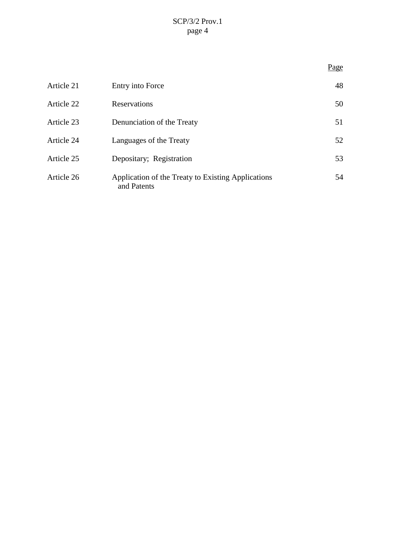|            |                                                                   | Page |
|------------|-------------------------------------------------------------------|------|
| Article 21 | Entry into Force                                                  | 48   |
| Article 22 | Reservations                                                      | 50   |
| Article 23 | Denunciation of the Treaty                                        | 51   |
| Article 24 | Languages of the Treaty                                           | 52   |
| Article 25 | Depositary; Registration                                          | 53   |
| Article 26 | Application of the Treaty to Existing Applications<br>and Patents | 54   |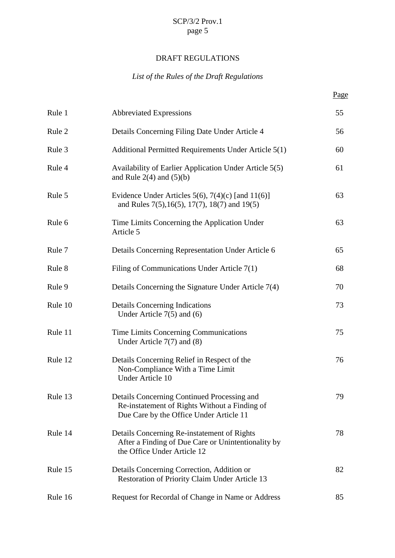# DRAFT REGULATIONS

## *List of the Rules of the Draft Regulations*

| Rule 1  | <b>Abbreviated Expressions</b>                                                                                                          | 55 |
|---------|-----------------------------------------------------------------------------------------------------------------------------------------|----|
| Rule 2  | Details Concerning Filing Date Under Article 4                                                                                          | 56 |
| Rule 3  | Additional Permitted Requirements Under Article 5(1)                                                                                    | 60 |
| Rule 4  | Availability of Earlier Application Under Article 5(5)<br>and Rule $2(4)$ and $(5)(b)$                                                  | 61 |
| Rule 5  | Evidence Under Articles 5(6), 7(4)(c) [and $11(6)$ ]<br>and Rules $7(5)$ , $16(5)$ , $17(7)$ , $18(7)$ and $19(5)$                      | 63 |
| Rule 6  | Time Limits Concerning the Application Under<br>Article 5                                                                               | 63 |
| Rule 7  | Details Concerning Representation Under Article 6                                                                                       | 65 |
| Rule 8  | Filing of Communications Under Article $7(1)$                                                                                           | 68 |
| Rule 9  | Details Concerning the Signature Under Article 7(4)                                                                                     | 70 |
| Rule 10 | <b>Details Concerning Indications</b><br>Under Article $7(5)$ and $(6)$                                                                 | 73 |
| Rule 11 | Time Limits Concerning Communications<br>Under Article $7(7)$ and $(8)$                                                                 | 75 |
| Rule 12 | Details Concerning Relief in Respect of the<br>Non-Compliance With a Time Limit<br>Under Article 10                                     | 76 |
| Rule 13 | Details Concerning Continued Processing and<br>Re-instatement of Rights Without a Finding of<br>Due Care by the Office Under Article 11 | 79 |
| Rule 14 | Details Concerning Re-instatement of Rights<br>After a Finding of Due Care or Unintentionality by<br>the Office Under Article 12        | 78 |
| Rule 15 | Details Concerning Correction, Addition or<br>Restoration of Priority Claim Under Article 13                                            | 82 |
| Rule 16 | Request for Recordal of Change in Name or Address                                                                                       | 85 |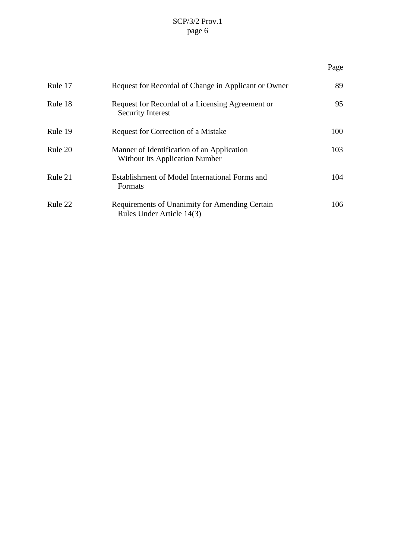|         |                                                                                     | Page |
|---------|-------------------------------------------------------------------------------------|------|
| Rule 17 | Request for Recordal of Change in Applicant or Owner                                | 89   |
| Rule 18 | Request for Recordal of a Licensing Agreement or<br><b>Security Interest</b>        | 95   |
| Rule 19 | Request for Correction of a Mistake                                                 | 100  |
| Rule 20 | Manner of Identification of an Application<br><b>Without Its Application Number</b> | 103  |
| Rule 21 | Establishment of Model International Forms and<br>Formats                           | 104  |
| Rule 22 | Requirements of Unanimity for Amending Certain<br>Rules Under Article 14(3)         | 106  |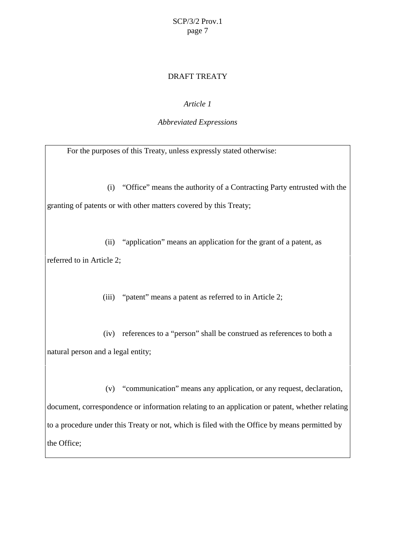#### DRAFT TREATY

## *Article 1*

#### *Abbreviated Expressions*

For the purposes of this Treaty, unless expressly stated otherwise:

(i) "Office" means the authority of a Contracting Party entrusted with the granting of patents or with other matters covered by this Treaty;

(ii) "application" means an application for the grant of a patent, as referred to in Article 2;

(iii) "patent" means a patent as referred to in Article 2;

(iv) references to a "person" shall be construed as references to both a natural person and a legal entity;

(v) "communication" means any application, or any request, declaration, document, correspondence or information relating to an application or patent, whether relating to a procedure under this Treaty or not, which is filed with the Office by means permitted by the Office;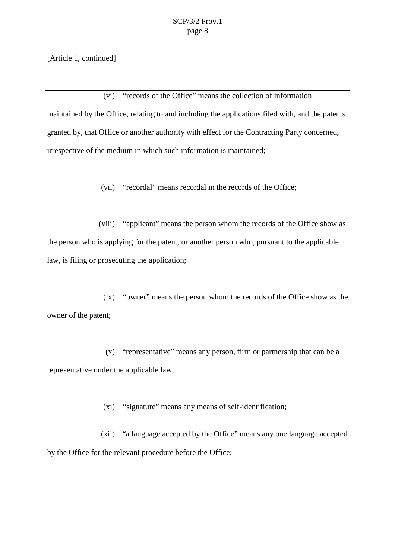[Article 1, continued]

(vi) "records of the Office" means the collection of information maintained by the Office, relating to and including the applications filed with, and the patents granted by, that Office or another authority with effect for the Contracting Party concerned, irrespective of the medium in which such information is maintained;

(vii) "recordal" means recordal in the records of the Office;

(viii) "applicant" means the person whom the records of the Office show as the person who is applying for the patent, or another person who, pursuant to the applicable law, is filing or prosecuting the application;

(ix) "owner" means the person whom the records of the Office show as the owner of the patent;

(x) "representative" means any person, firm or partnership that can be a representative under the applicable law;

(xi) "signature" means any means of self-identification;

(xii) "a language accepted by the Office" means any one language accepted by the Office for the relevant procedure before the Office;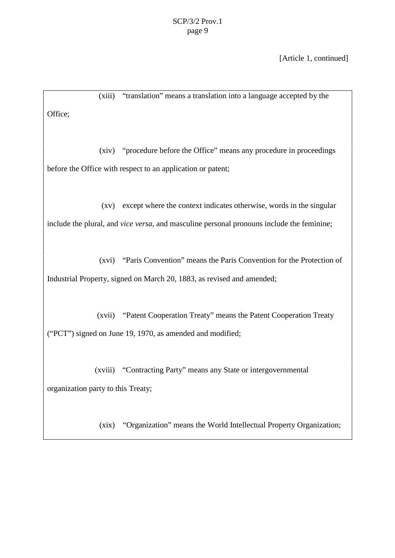[Article 1, continued]

(xiii) "translation" means a translation into a language accepted by the Office; (xiv) "procedure before the Office" means any procedure in proceedings before the Office with respect to an application or patent; (xv) except where the context indicates otherwise, words in the singular include the plural, and *vice versa*, and masculine personal pronouns include the feminine; (xvi) "Paris Convention" means the Paris Convention for the Protection of Industrial Property, signed on March 20, 1883, as revised and amended; (xvii) "Patent Cooperation Treaty" means the Patent Cooperation Treaty ("PCT") signed on June 19, 1970, as amended and modified; (xviii) "Contracting Party" means any State or intergovernmental organization party to this Treaty; (xix) "Organization" means the World Intellectual Property Organization;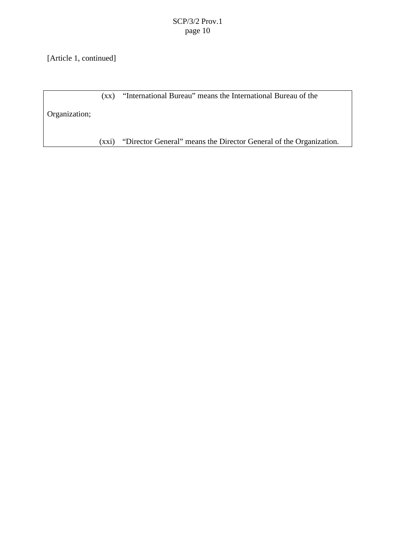[Article 1, continued]

(xx) "International Bureau" means the International Bureau of the

Organization;

(xxi) "Director General" means the Director General of the Organization.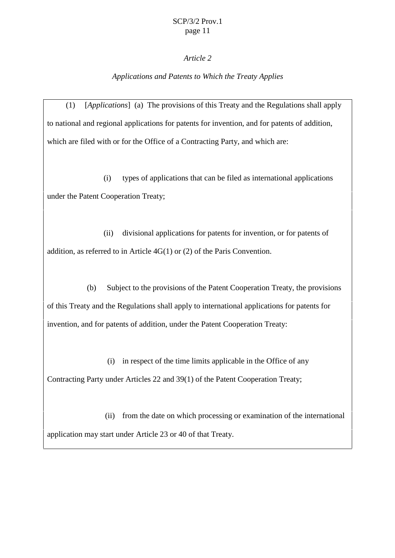#### *Article 2*

## *Applications and Patents to Which the Treaty Applies*

(1) [*Applications*] (a) The provisions of this Treaty and the Regulations shall apply to national and regional applications for patents for invention, and for patents of addition, which are filed with or for the Office of a Contracting Party, and which are:

(i) types of applications that can be filed as international applications under the Patent Cooperation Treaty;

(ii) divisional applications for patents for invention, or for patents of addition, as referred to in Article 4G(1) or (2) of the Paris Convention.

(b) Subject to the provisions of the Patent Cooperation Treaty, the provisions of this Treaty and the Regulations shall apply to international applications for patents for invention, and for patents of addition, under the Patent Cooperation Treaty:

(i) in respect of the time limits applicable in the Office of any Contracting Party under Articles 22 and 39(1) of the Patent Cooperation Treaty;

(ii) from the date on which processing or examination of the international application may start under Article 23 or 40 of that Treaty.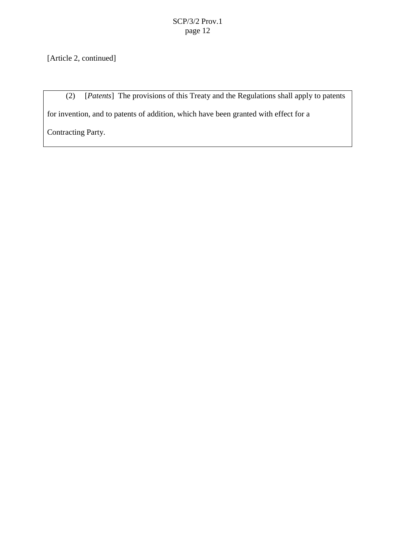[Article 2, continued]

(2) [*Patents*] The provisions of this Treaty and the Regulations shall apply to patents for invention, and to patents of addition, which have been granted with effect for a Contracting Party.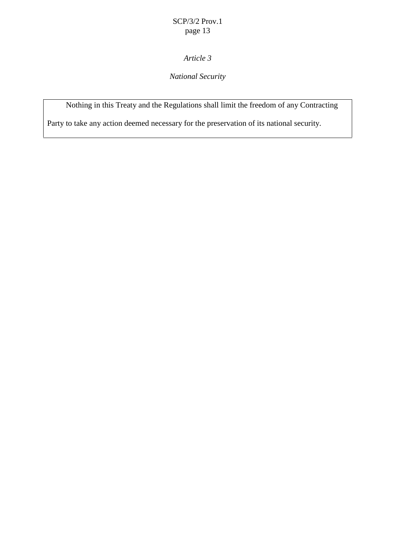# *Article 3*

## *National Security*

Nothing in this Treaty and the Regulations shall limit the freedom of any Contracting

Party to take any action deemed necessary for the preservation of its national security.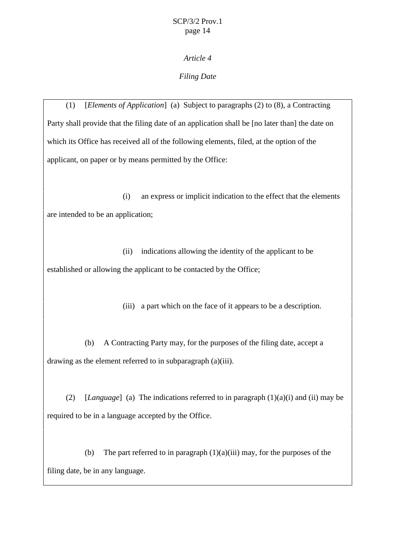## *Article 4*

## *Filing Date*

(1) [*Elements of Application*] (a) Subject to paragraphs (2) to (8), a Contracting Party shall provide that the filing date of an application shall be [no later than] the date on which its Office has received all of the following elements, filed, at the option of the applicant, on paper or by means permitted by the Office:

(i) an express or implicit indication to the effect that the elements are intended to be an application;

(ii) indications allowing the identity of the applicant to be established or allowing the applicant to be contacted by the Office;

(iii) a part which on the face of it appears to be a description.

(b) A Contracting Party may, for the purposes of the filing date, accept a drawing as the element referred to in subparagraph (a)(iii).

(2) [*Language*] (a) The indications referred to in paragraph (1)(a)(i) and (ii) may be required to be in a language accepted by the Office.

(b) The part referred to in paragraph  $(1)(a)(iii)$  may, for the purposes of the filing date, be in any language.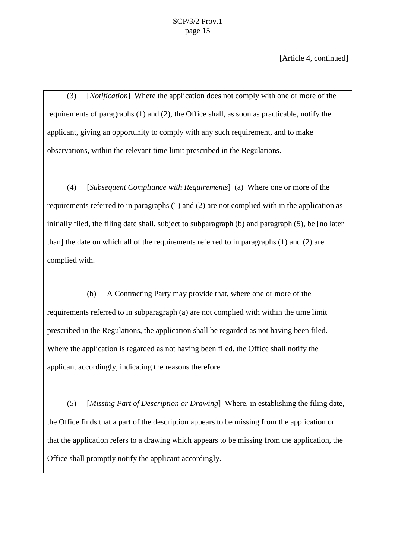[Article 4, continued]

(3) [*Notification*] Where the application does not comply with one or more of the requirements of paragraphs (1) and (2), the Office shall, as soon as practicable, notify the applicant, giving an opportunity to comply with any such requirement, and to make observations, within the relevant time limit prescribed in the Regulations.

(4) [*Subsequent Compliance with Requirements*] (a) Where one or more of the requirements referred to in paragraphs (1) and (2) are not complied with in the application as initially filed, the filing date shall, subject to subparagraph (b) and paragraph (5), be [no later than] the date on which all of the requirements referred to in paragraphs (1) and (2) are complied with.

(b) A Contracting Party may provide that, where one or more of the requirements referred to in subparagraph (a) are not complied with within the time limit prescribed in the Regulations, the application shall be regarded as not having been filed. Where the application is regarded as not having been filed, the Office shall notify the applicant accordingly, indicating the reasons therefore.

(5) [*Missing Part of Description or Drawing*] Where, in establishing the filing date, the Office finds that a part of the description appears to be missing from the application or that the application refers to a drawing which appears to be missing from the application, the Office shall promptly notify the applicant accordingly.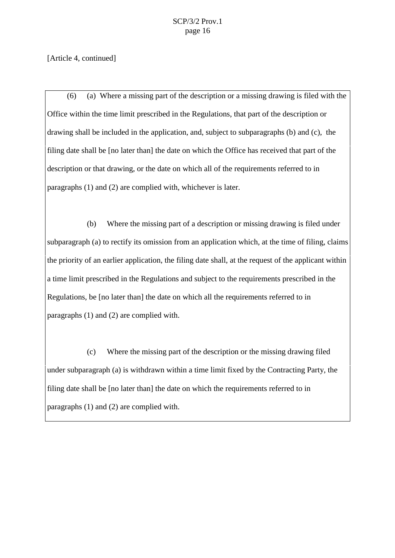[Article 4, continued]

(6) (a) Where a missing part of the description or a missing drawing is filed with the Office within the time limit prescribed in the Regulations, that part of the description or drawing shall be included in the application, and, subject to subparagraphs (b) and (c), the filing date shall be [no later than] the date on which the Office has received that part of the description or that drawing, or the date on which all of the requirements referred to in paragraphs (1) and (2) are complied with, whichever is later.

(b) Where the missing part of a description or missing drawing is filed under subparagraph (a) to rectify its omission from an application which, at the time of filing, claims the priority of an earlier application, the filing date shall, at the request of the applicant within a time limit prescribed in the Regulations and subject to the requirements prescribed in the Regulations, be [no later than] the date on which all the requirements referred to in paragraphs (1) and (2) are complied with.

(c) Where the missing part of the description or the missing drawing filed under subparagraph (a) is withdrawn within a time limit fixed by the Contracting Party, the filing date shall be [no later than] the date on which the requirements referred to in paragraphs (1) and (2) are complied with.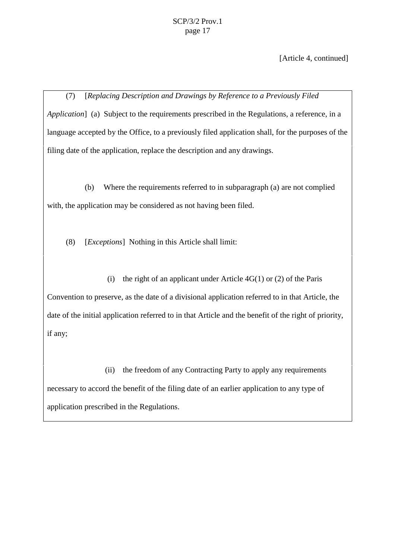[Article 4, continued]

(7) [*Replacing Description and Drawings by Reference to a Previously Filed Application*] (a) Subject to the requirements prescribed in the Regulations, a reference, in a language accepted by the Office, to a previously filed application shall, for the purposes of the filing date of the application, replace the description and any drawings.

(b) Where the requirements referred to in subparagraph (a) are not complied with, the application may be considered as not having been filed.

(8) [*Exceptions*] Nothing in this Article shall limit:

(i) the right of an applicant under Article  $4G(1)$  or (2) of the Paris Convention to preserve, as the date of a divisional application referred to in that Article, the date of the initial application referred to in that Article and the benefit of the right of priority, if any;

(ii) the freedom of any Contracting Party to apply any requirements necessary to accord the benefit of the filing date of an earlier application to any type of application prescribed in the Regulations.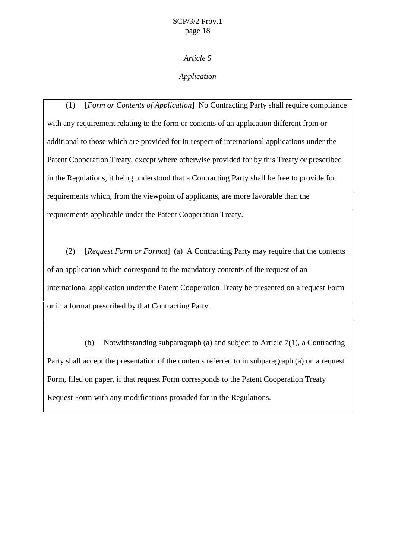*Article 5*

#### *Application*

(1) [*Form or Contents of Application*] No Contracting Party shall require compliance with any requirement relating to the form or contents of an application different from or additional to those which are provided for in respect of international applications under the Patent Cooperation Treaty, except where otherwise provided for by this Treaty or prescribed in the Regulations, it being understood that a Contracting Party shall be free to provide for requirements which, from the viewpoint of applicants, are more favorable than the requirements applicable under the Patent Cooperation Treaty.

(2) [*Request Form or Format*] (a) A Contracting Party may require that the contents of an application which correspond to the mandatory contents of the request of an international application under the Patent Cooperation Treaty be presented on a request Form or in a format prescribed by that Contracting Party.

(b) Notwithstanding subparagraph (a) and subject to Article 7(1), a Contracting Party shall accept the presentation of the contents referred to in subparagraph (a) on a request Form, filed on paper, if that request Form corresponds to the Patent Cooperation Treaty Request Form with any modifications provided for in the Regulations.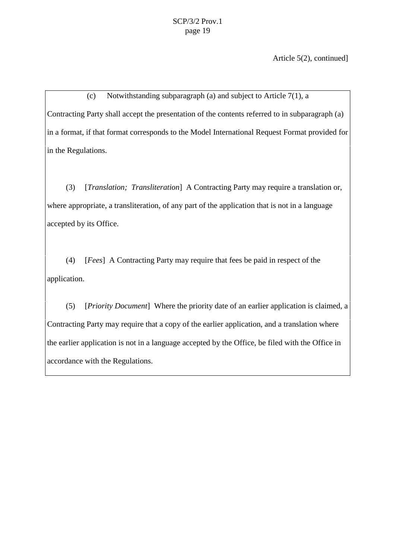Article 5(2), continued]

(c) Notwithstanding subparagraph (a) and subject to Article 7(1), a Contracting Party shall accept the presentation of the contents referred to in subparagraph (a) in a format, if that format corresponds to the Model International Request Format provided for in the Regulations.

(3) [*Translation; Transliteration*] A Contracting Party may require a translation or, where appropriate, a transliteration, of any part of the application that is not in a language accepted by its Office.

(4) [*Fees*] A Contracting Party may require that fees be paid in respect of the application.

(5) [*Priority Document*] Where the priority date of an earlier application is claimed, a Contracting Party may require that a copy of the earlier application, and a translation where the earlier application is not in a language accepted by the Office, be filed with the Office in accordance with the Regulations.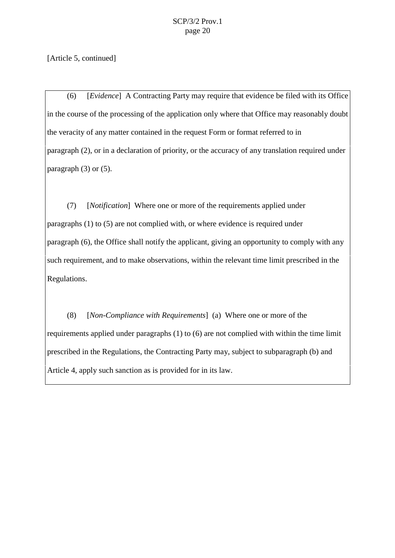[Article 5, continued]

(6) [*Evidence*] A Contracting Party may require that evidence be filed with its Office in the course of the processing of the application only where that Office may reasonably doubt the veracity of any matter contained in the request Form or format referred to in paragraph (2), or in a declaration of priority, or the accuracy of any translation required under paragraph  $(3)$  or  $(5)$ .

(7) [*Notification*] Where one or more of the requirements applied under paragraphs (1) to (5) are not complied with, or where evidence is required under paragraph (6), the Office shall notify the applicant, giving an opportunity to comply with any such requirement, and to make observations, within the relevant time limit prescribed in the Regulations.

(8) [*Non-Compliance with Requirements*] (a) Where one or more of the requirements applied under paragraphs (1) to (6) are not complied with within the time limit prescribed in the Regulations, the Contracting Party may, subject to subparagraph (b) and Article 4, apply such sanction as is provided for in its law.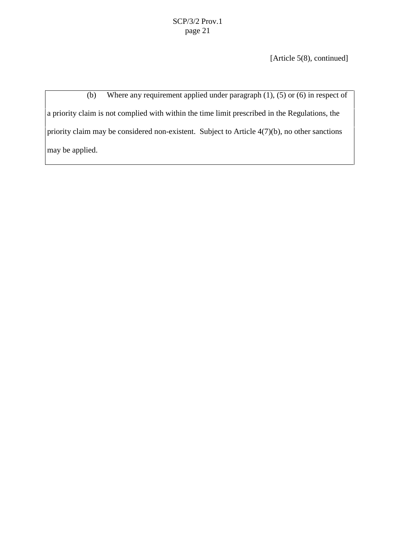[Article 5(8), continued]

(b) Where any requirement applied under paragraph (1), (5) or (6) in respect of a priority claim is not complied with within the time limit prescribed in the Regulations, the priority claim may be considered non-existent. Subject to Article 4(7)(b), no other sanctions may be applied.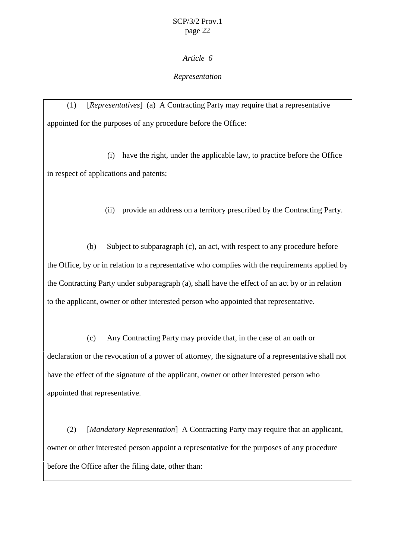#### *Article 6*

#### *Representation*

(1) [*Representatives*] (a) A Contracting Party may require that a representative appointed for the purposes of any procedure before the Office:

(i) have the right, under the applicable law, to practice before the Office in respect of applications and patents;

(ii) provide an address on a territory prescribed by the Contracting Party.

(b) Subject to subparagraph (c), an act, with respect to any procedure before the Office, by or in relation to a representative who complies with the requirements applied by the Contracting Party under subparagraph (a), shall have the effect of an act by or in relation to the applicant, owner or other interested person who appointed that representative.

(c) Any Contracting Party may provide that, in the case of an oath or declaration or the revocation of a power of attorney, the signature of a representative shall not have the effect of the signature of the applicant, owner or other interested person who appointed that representative.

(2) [*Mandatory Representation*] A Contracting Party may require that an applicant, owner or other interested person appoint a representative for the purposes of any procedure before the Office after the filing date, other than: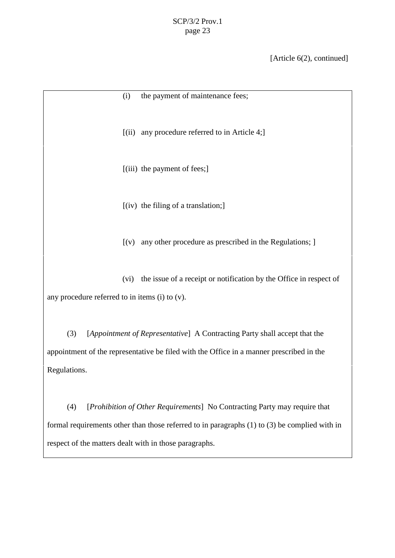[Article 6(2), continued]

(i) the payment of maintenance fees; [(ii) any procedure referred to in Article 4;]  $[(iii)$  the payment of fees; [(iv) the filing of a translation;]  $[(v)$  any other procedure as prescribed in the Regulations;  $]$ (vi) the issue of a receipt or notification by the Office in respect of any procedure referred to in items (i) to (v). (3) [*Appointment of Representative*] A Contracting Party shall accept that the appointment of the representative be filed with the Office in a manner prescribed in the Regulations.

(4) [*Prohibition of Other Requirements*] No Contracting Party may require that formal requirements other than those referred to in paragraphs (1) to (3) be complied with in respect of the matters dealt with in those paragraphs.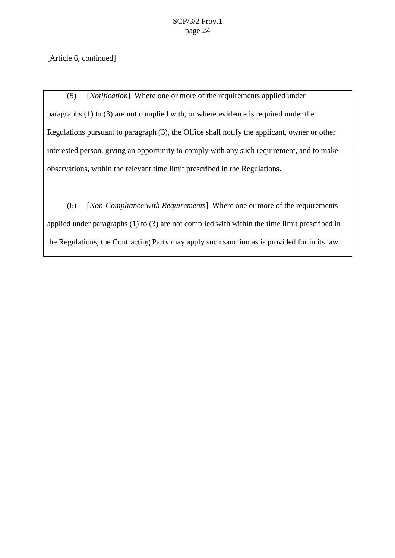[Article 6, continued]

(5) [*Notification*] Where one or more of the requirements applied under paragraphs (1) to (3) are not complied with, or where evidence is required under the Regulations pursuant to paragraph (3), the Office shall notify the applicant, owner or other interested person, giving an opportunity to comply with any such requirement, and to make observations, within the relevant time limit prescribed in the Regulations.

(6) [*Non-Compliance with Requirements*] Where one or more of the requirements applied under paragraphs (1) to (3) are not complied with within the time limit prescribed in the Regulations, the Contracting Party may apply such sanction as is provided for in its law.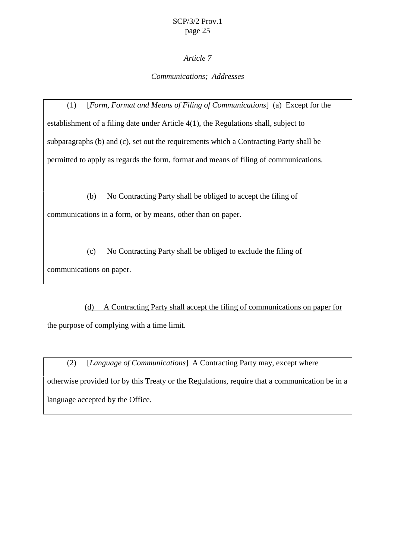## *Article 7*

## *Communications; Addresses*

(1) [*Form, Format and Means of Filing of Communications*] (a) Except for the establishment of a filing date under Article 4(1), the Regulations shall, subject to subparagraphs (b) and (c), set out the requirements which a Contracting Party shall be permitted to apply as regards the form, format and means of filing of communications.

(b) No Contracting Party shall be obliged to accept the filing of communications in a form, or by means, other than on paper.

(c) No Contracting Party shall be obliged to exclude the filing of communications on paper.

(d) A Contracting Party shall accept the filing of communications on paper for the purpose of complying with a time limit.

(2) [*Language of Communications*] A Contracting Party may, except where otherwise provided for by this Treaty or the Regulations, require that a communication be in a language accepted by the Office.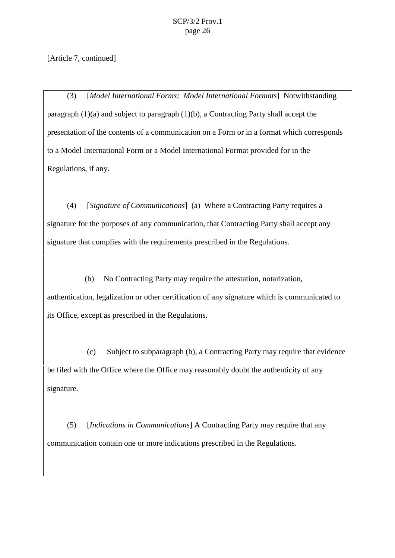[Article 7, continued]

(3) [*Model International Forms; Model International Formats*] Notwithstanding paragraph (1)(a) and subject to paragraph (1)(b), a Contracting Party shall accept the presentation of the contents of a communication on a Form or in a format which corresponds to a Model International Form or a Model International Format provided for in the Regulations, if any.

(4) [*Signature of Communications*] (a)Where a Contracting Party requires a signature for the purposes of any communication, that Contracting Party shall accept any signature that complies with the requirements prescribed in the Regulations.

(b) No Contracting Party may require the attestation, notarization, authentication, legalization or other certification of any signature which is communicated to its Office, except as prescribed in the Regulations.

(c) Subject to subparagraph (b), a Contracting Party may require that evidence be filed with the Office where the Office may reasonably doubt the authenticity of any signature.

(5) [*Indications in Communications*] A Contracting Party may require that any communication contain one or more indications prescribed in the Regulations.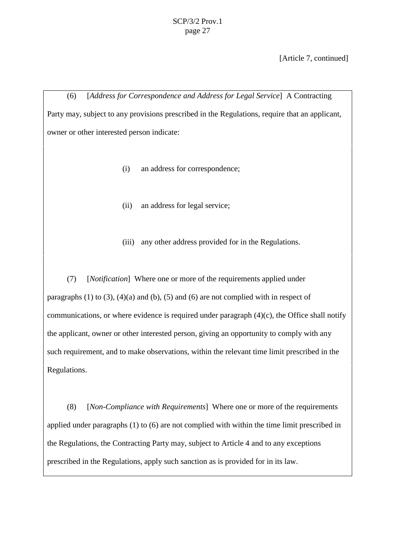[Article 7, continued]

(6) [*Address for Correspondence and Address for Legal Service*] A Contracting Party may, subject to any provisions prescribed in the Regulations, require that an applicant, owner or other interested person indicate:

- (i) an address for correspondence;
- (ii) an address for legal service;
- (iii) any other address provided for in the Regulations.

(7) [*Notification*] Where one or more of the requirements applied under paragraphs  $(1)$  to  $(3)$ ,  $(4)(a)$  and  $(b)$ ,  $(5)$  and  $(6)$  are not complied with in respect of communications, or where evidence is required under paragraph  $(4)(c)$ , the Office shall notify the applicant, owner or other interested person, giving an opportunity to comply with any such requirement, and to make observations, within the relevant time limit prescribed in the Regulations.

(8) [*Non-Compliance with Requirements*] Where one or more of the requirements applied under paragraphs (1) to (6) are not complied with within the time limit prescribed in the Regulations, the Contracting Party may, subject to Article 4 and to any exceptions prescribed in the Regulations, apply such sanction as is provided for in its law.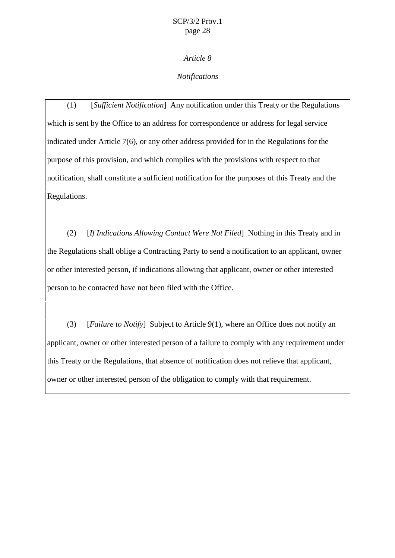*Article 8*

#### *Notifications*

(1) [*Sufficient Notification*] Any notification under this Treaty or the Regulations which is sent by the Office to an address for correspondence or address for legal service indicated under Article 7(6), or any other address provided for in the Regulations for the purpose of this provision, and which complies with the provisions with respect to that notification, shall constitute a sufficient notification for the purposes of this Treaty and the Regulations.

(2) [*If Indications Allowing Contact Were Not Filed*] Nothing in this Treaty and in the Regulations shall oblige a Contracting Party to send a notification to an applicant, owner or other interested person, if indications allowing that applicant, owner or other interested person to be contacted have not been filed with the Office.

(3) [*Failure to Notify*] Subject to Article 9(1), where an Office does not notify an applicant, owner or other interested person of a failure to comply with any requirement under this Treaty or the Regulations, that absence of notification does not relieve that applicant, owner or other interested person of the obligation to comply with that requirement.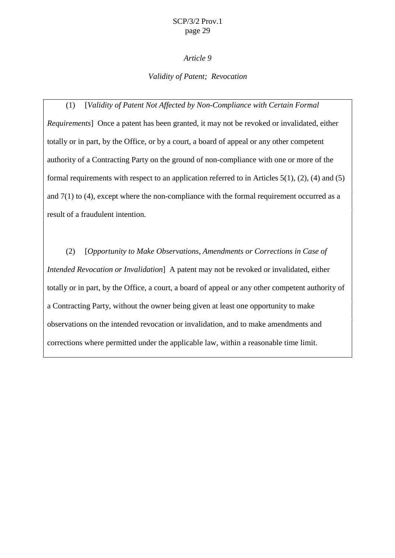#### *Article 9*

#### *Validity of Patent; Revocation*

(1) [*Validity of Patent Not Affected by Non-Compliance with Certain Formal Requirements*] Once a patent has been granted, it may not be revoked or invalidated, either totally or in part, by the Office, or by a court, a board of appeal or any other competent authority of a Contracting Party on the ground of non-compliance with one or more of the formal requirements with respect to an application referred to in Articles 5(1), (2), (4) and (5) and  $7(1)$  to (4), except where the non-compliance with the formal requirement occurred as a result of a fraudulent intention.

(2) [*Opportunity to Make Observations, Amendments or Corrections in Case of Intended Revocation or Invalidation*] A patent may not be revoked or invalidated, either totally or in part, by the Office, a court, a board of appeal or any other competent authority of a Contracting Party, without the owner being given at least one opportunity to make observations on the intended revocation or invalidation, and to make amendments and corrections where permitted under the applicable law, within a reasonable time limit.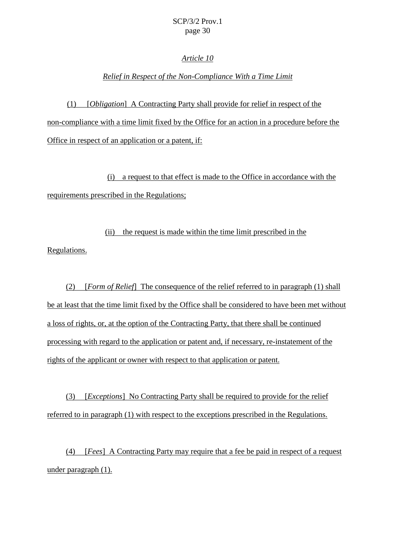#### *Article 10*

#### *Relief in Respect of the Non-Compliance With a Time Limit*

(1) [*Obligation*] A Contracting Party shall provide for relief in respect of the non-compliance with a time limit fixed by the Office for an action in a procedure before the Office in respect of an application or a patent, if:

(i) a request to that effect is made to the Office in accordance with the requirements prescribed in the Regulations;

(ii) the request is made within the time limit prescribed in the

Regulations.

(2) [*Form of Relief*] The consequence of the relief referred to in paragraph (1) shall be at least that the time limit fixed by the Office shall be considered to have been met without a loss of rights, or, at the option of the Contracting Party, that there shall be continued processing with regard to the application or patent and, if necessary, re-instatement of the rights of the applicant or owner with respect to that application or patent.

(3) [*Exceptions*] No Contracting Party shall be required to provide for the relief referred to in paragraph (1) with respect to the exceptions prescribed in the Regulations.

(4) [*Fees*] A Contracting Party may require that a fee be paid in respect of a request under paragraph (1).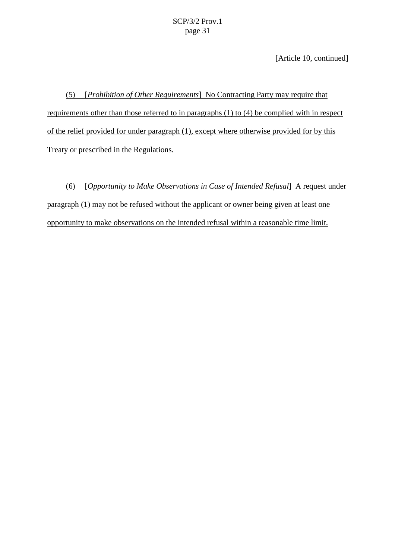[Article 10, continued]

(5) [*Prohibition of Other Requirements*] No Contracting Party may require that requirements other than those referred to in paragraphs (1) to (4) be complied with in respect of the relief provided for under paragraph (1), except where otherwise provided for by this Treaty or prescribed in the Regulations.

(6) [*Opportunity to Make Observations in Case of Intended Refusal*] A request under paragraph (1) may not be refused without the applicant or owner being given at least one opportunity to make observations on the intended refusal within a reasonable time limit.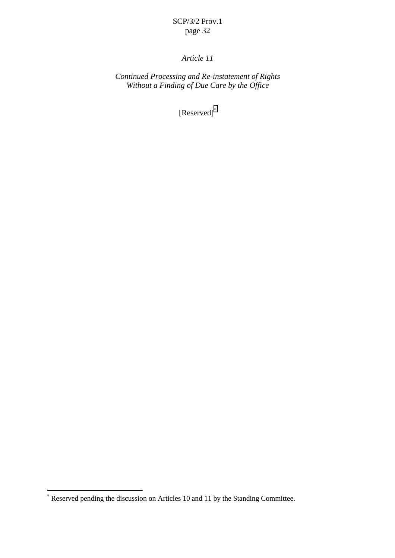#### $r - \sigma$

## *Article 11*

*Continued Processing and Re-instatement of Rights Without a Finding of Due Care by the Office*

[Reserved]\*

<sup>\*&</sup>lt;br>
\* Reserved pending the discussion on Articles 10 and 11 by the Standing Committee.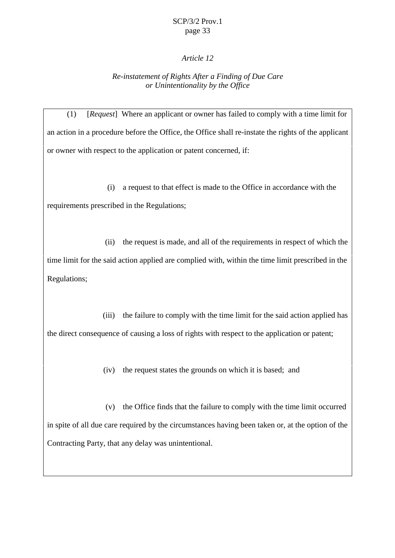#### *Article 12*

#### *Re-instatement of Rights After a Finding of Due Care or Unintentionality by the Office*

(1) [*Request*] Where an applicant or owner has failed to comply with a time limit for an action in a procedure before the Office, the Office shall re-instate the rights of the applicant or owner with respect to the application or patent concerned, if:

(i) a request to that effect is made to the Office in accordance with the requirements prescribed in the Regulations;

(ii) the request is made, and all of the requirements in respect of which the time limit for the said action applied are complied with, within the time limit prescribed in the Regulations;

(iii) the failure to comply with the time limit for the said action applied has the direct consequence of causing a loss of rights with respect to the application or patent;

(iv) the request states the grounds on which it is based; and

(v) the Office finds that the failure to comply with the time limit occurred in spite of all due care required by the circumstances having been taken or, at the option of the Contracting Party, that any delay was unintentional.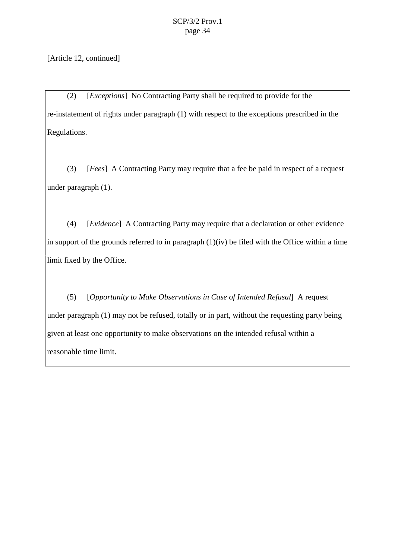[Article 12, continued]

(2) [*Exceptions*] No Contracting Party shall be required to provide for the re-instatement of rights under paragraph (1) with respect to the exceptions prescribed in the Regulations.

(3) [*Fees*] A Contracting Party may require that a fee be paid in respect of a request under paragraph (1).

(4) [*Evidence*] A Contracting Party may require that a declaration or other evidence in support of the grounds referred to in paragraph  $(1)(iv)$  be filed with the Office within a time limit fixed by the Office.

(5) [*Opportunity to Make Observations in Case of Intended Refusal*] A request under paragraph (1) may not be refused, totally or in part, without the requesting party being given at least one opportunity to make observations on the intended refusal within a reasonable time limit.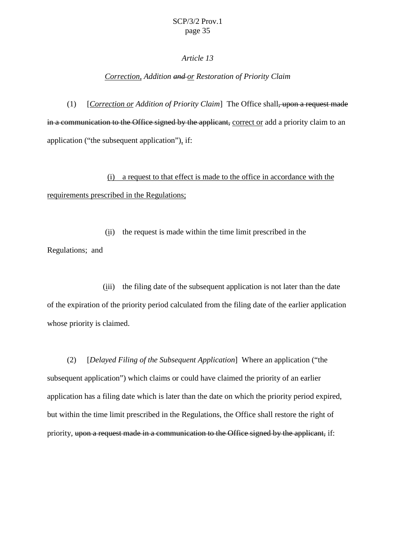#### *Article 13*

#### *Correction, Addition and or Restoration of Priority Claim*

(1) [*Correction or Addition of Priority Claim*] The Office shall, upon a request made in a communication to the Office signed by the applicant, correct or add a priority claim to an application ("the subsequent application"), if:

(i) a request to that effect is made to the office in accordance with the requirements prescribed in the Regulations;

(ii) the request is made within the time limit prescribed in the Regulations; and

(iii) the filing date of the subsequent application is not later than the date of the expiration of the priority period calculated from the filing date of the earlier application whose priority is claimed.

(2) [*Delayed Filing of the Subsequent Application*] Where an application ("the subsequent application") which claims or could have claimed the priority of an earlier application has a filing date which is later than the date on which the priority period expired, but within the time limit prescribed in the Regulations, the Office shall restore the right of priority, upon a request made in a communication to the Office signed by the applicant, if: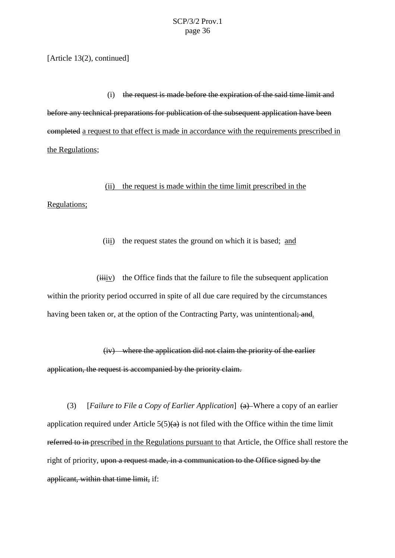[Article 13(2), continued]

(i) the request is made before the expiration of the said time limit and before any technical preparations for publication of the subsequent application have been completed a request to that effect is made in accordance with the requirements prescribed in the Regulations;

(ii) the request is made within the time limit prescribed in the Regulations;

(iii) the request states the ground on which it is based; and

 $(iiiiv)$  the Office finds that the failure to file the subsequent application within the priority period occurred in spite of all due care required by the circumstances having been taken or, at the option of the Contracting Party, was unintentional; and.

(iv) where the application did not claim the priority of the earlier application, the request is accompanied by the priority claim.

(3) [*Failure to File a Copy of Earlier Application*] (a) Where a copy of an earlier application required under Article  $5(5)(a)$  is not filed with the Office within the time limit referred to in prescribed in the Regulations pursuant to that Article, the Office shall restore the right of priority, upon a request made, in a communication to the Office signed by the applicant, within that time limit, if: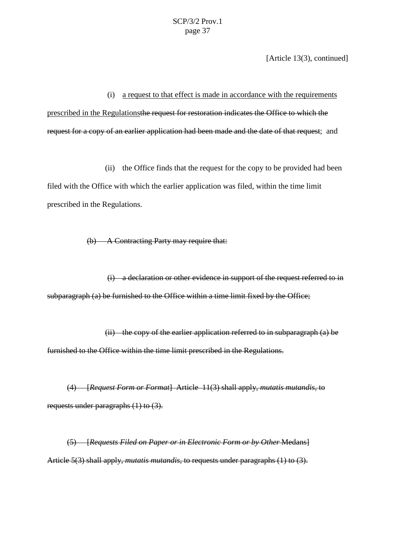[Article 13(3), continued]

(i) a request to that effect is made in accordance with the requirements prescribed in the Regulationsthe request for restoration indicates the Office to which the request for a copy of an earlier application had been made and the date of that request; and

(ii) the Office finds that the request for the copy to be provided had been filed with the Office with which the earlier application was filed, within the time limit prescribed in the Regulations.

(b) A Contracting Party may require that:

(i) a declaration or other evidence in support of the request referred to in subparagraph (a) be furnished to the Office within a time limit fixed by the Office;

(ii) the copy of the earlier application referred to in subparagraph (a) be furnished to the Office within the time limit prescribed in the Regulations.

(4) [*Request Form or Format*] Article 11(3) shall apply, *mutatis mutandis*, to requests under paragraphs (1) to (3).

(5) [*Requests Filed on Paper or in Electronic Form or by Other* Medans] Article 5(3) shall apply, *mutatis mutandis*, to requests under paragraphs (1) to (3).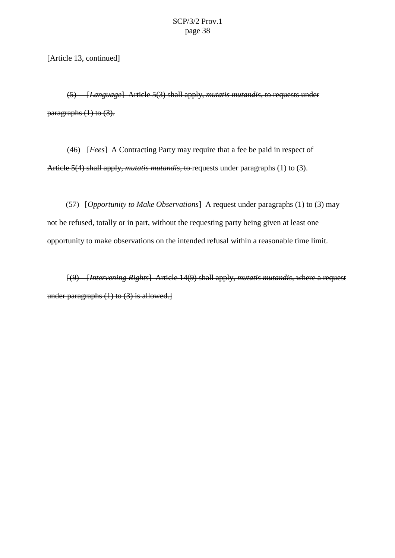[Article 13, continued]

(5) [*Language*] Article 5(3) shall apply, *mutatis mutandis*, to requests under paragraphs (1) to (3).

(46) [*Fees*] A Contracting Party may require that a fee be paid in respect of Article 5(4) shall apply, *mutatis mutandis*, to requests under paragraphs (1) to (3).

(57) [*Opportunity to Make Observations*] A request under paragraphs (1) to (3) may not be refused, totally or in part, without the requesting party being given at least one opportunity to make observations on the intended refusal within a reasonable time limit.

[(9) [*Intervening Rights*] Article 14(9) shall apply, *mutatis mutandis*, where a request under paragraphs (1) to (3) is allowed.]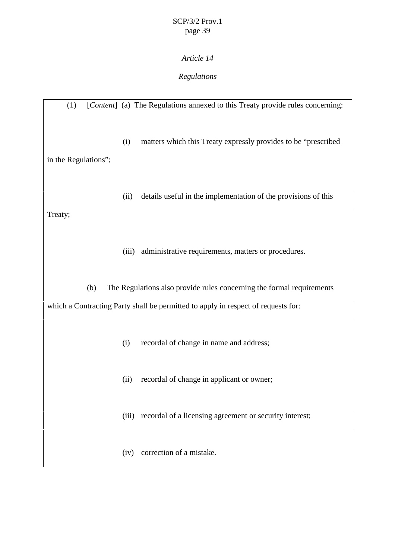## *Article 14*

## *Regulations*

(1) [*Content*] (a) The Regulations annexed to this Treaty provide rules concerning: (i) matters which this Treaty expressly provides to be "prescribed in the Regulations"; (ii) details useful in the implementation of the provisions of this Treaty; (iii) administrative requirements, matters or procedures. (b) The Regulations also provide rules concerning the formal requirements which a Contracting Party shall be permitted to apply in respect of requests for: (i) recordal of change in name and address; (ii) recordal of change in applicant or owner; (iii) recordal of a licensing agreement or security interest; (iv) correction of a mistake.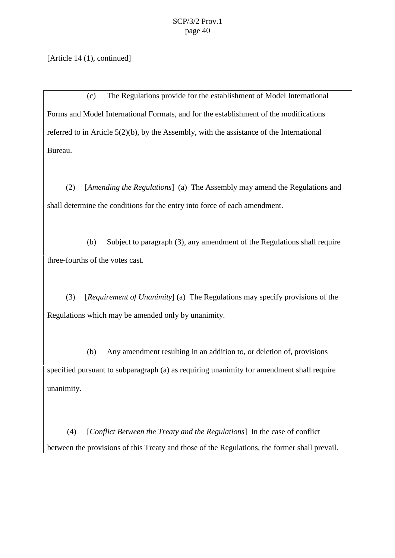[Article 14 (1), continued]

(c) The Regulations provide for the establishment of Model International Forms and Model International Formats, and for the establishment of the modifications referred to in Article 5(2)(b), by the Assembly, with the assistance of the International Bureau.

(2) [*Amending the Regulations*] (a) The Assembly may amend the Regulations and shall determine the conditions for the entry into force of each amendment.

(b) Subject to paragraph (3), any amendment of the Regulations shall require three-fourths of the votes cast.

(3) [*Requirement of Unanimity*] (a) The Regulations may specify provisions of the Regulations which may be amended only by unanimity.

(b) Any amendment resulting in an addition to, or deletion of, provisions specified pursuant to subparagraph (a) as requiring unanimity for amendment shall require unanimity.

(4) [*Conflict Between the Treaty and the Regulations*] In the case of conflict between the provisions of this Treaty and those of the Regulations, the former shall prevail.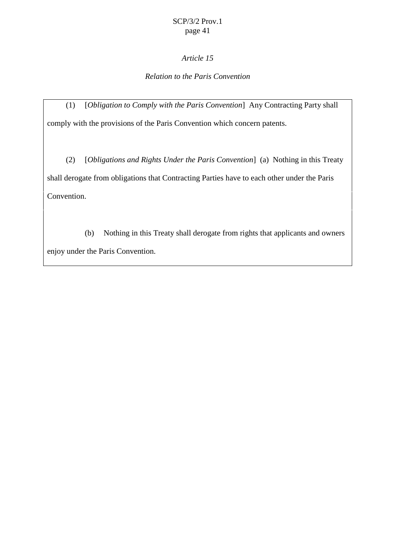## *Article 15*

## *Relation to the Paris Convention*

(1) [*Obligation to Comply with the Paris Convention*] Any Contracting Party shall comply with the provisions of the Paris Convention which concern patents.

(2) [*Obligations and Rights Under the Paris Convention*] (a) Nothing in this Treaty shall derogate from obligations that Contracting Parties have to each other under the Paris Convention.

(b) Nothing in this Treaty shall derogate from rights that applicants and owners enjoy under the Paris Convention.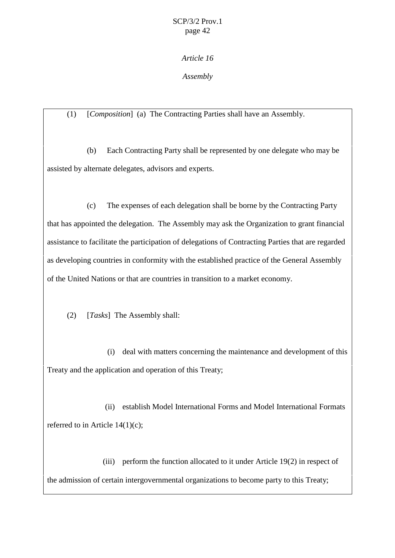## *Article 16*

## *Assembly*

## (1) [*Composition*] (a) The Contracting Parties shall have an Assembly.

(b) Each Contracting Party shall be represented by one delegate who may be assisted by alternate delegates, advisors and experts.

(c) The expenses of each delegation shall be borne by the Contracting Party that has appointed the delegation. The Assembly may ask the Organization to grant financial assistance to facilitate the participation of delegations of Contracting Parties that are regarded as developing countries in conformity with the established practice of the General Assembly of the United Nations or that are countries in transition to a market economy.

(2) [*Tasks*] The Assembly shall:

(i) deal with matters concerning the maintenance and development of this Treaty and the application and operation of this Treaty;

(ii) establish Model International Forms and Model International Formats referred to in Article 14(1)(c);

(iii) perform the function allocated to it under Article 19(2) in respect of the admission of certain intergovernmental organizations to become party to this Treaty;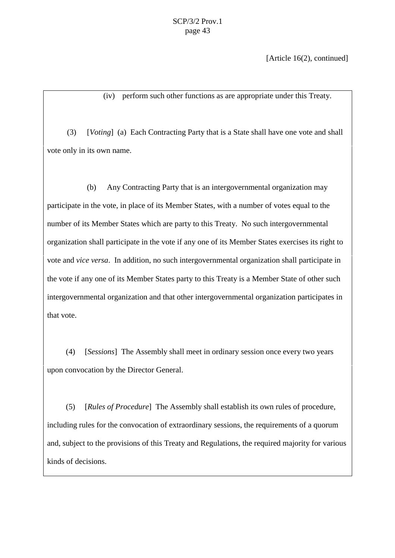[Article 16(2), continued]

(iv) perform such other functions as are appropriate under this Treaty.

(3) [*Voting*] (a) Each Contracting Party that is a State shall have one vote and shall vote only in its own name.

(b) Any Contracting Party that is an intergovernmental organization may participate in the vote, in place of its Member States, with a number of votes equal to the number of its Member States which are party to this Treaty. No such intergovernmental organization shall participate in the vote if any one of its Member States exercises its right to vote and *vice versa*. In addition, no such intergovernmental organization shall participate in the vote if any one of its Member States party to this Treaty is a Member State of other such intergovernmental organization and that other intergovernmental organization participates in that vote.

(4) [*Sessions*] The Assembly shall meet in ordinary session once every two years upon convocation by the Director General.

(5) [*Rules of Procedure*] The Assembly shall establish its own rules of procedure, including rules for the convocation of extraordinary sessions, the requirements of a quorum and, subject to the provisions of this Treaty and Regulations, the required majority for various kinds of decisions.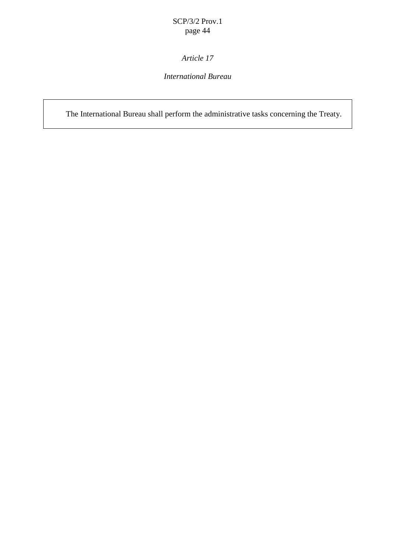# *Article 17*

## *International Bureau*

The International Bureau shall perform the administrative tasks concerning the Treaty.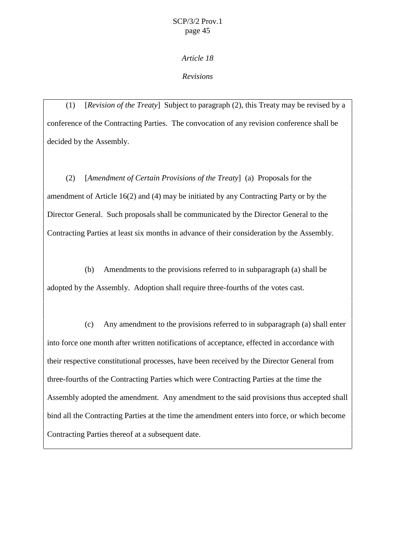#### *Article 18*

#### *Revisions*

(1) [*Revision of the Treaty*] Subject to paragraph (2), this Treaty may be revised by a conference of the Contracting Parties. The convocation of any revision conference shall be decided by the Assembly.

(2) [*Amendment of Certain Provisions of the Treaty*] (a) Proposals for the amendment of Article 16(2) and (4) may be initiated by any Contracting Party or by the Director General. Such proposals shall be communicated by the Director General to the Contracting Parties at least six months in advance of their consideration by the Assembly.

(b) Amendments to the provisions referred to in subparagraph (a) shall be adopted by the Assembly. Adoption shall require three-fourths of the votes cast.

(c) Any amendment to the provisions referred to in subparagraph (a) shall enter into force one month after written notifications of acceptance, effected in accordance with their respective constitutional processes, have been received by the Director General from three-fourths of the Contracting Parties which were Contracting Parties at the time the Assembly adopted the amendment. Any amendment to the said provisions thus accepted shall bind all the Contracting Parties at the time the amendment enters into force, or which become Contracting Parties thereof at a subsequent date.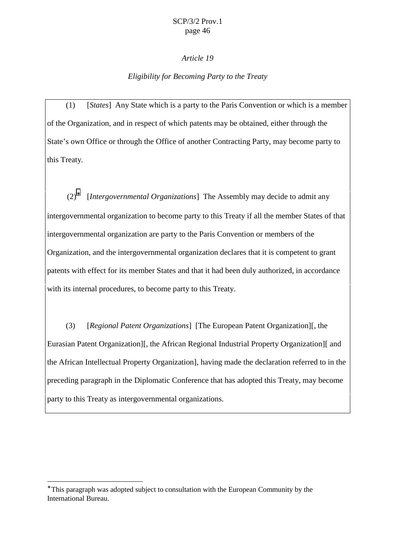#### page 46

#### *Article 19*

#### *Eligibility for Becoming Party to the Treaty*

(1) [*States*] Any State which is a party to the Paris Convention or which is a member of the Organization, and in respect of which patents may be obtained, either through the State's own Office or through the Office of another Contracting Party, may become party to this Treaty*.*

(2)<sup>∗</sup> [*Intergovernmental Organizations*] The Assembly may decide to admit any intergovernmental organization to become party to this Treaty if all the member States of that intergovernmental organization are party to the Paris Convention or members of the Organization, and the intergovernmental organization declares that it is competent to grant patents with effect for its member States and that it had been duly authorized, in accordance with its internal procedures, to become party to this Treaty.

(3) [*Regional Patent Organizations*] [The European Patent Organization][, the Eurasian Patent Organization][, the African Regional Industrial Property Organization][ and the African Intellectual Property Organization], having made the declaration referred to in the preceding paragraph in the Diplomatic Conference that has adopted this Treaty, may become party to this Treaty as intergovernmental organizations.

 $\overline{a}$ 

<sup>∗</sup> This paragraph was adopted subject to consultation with the European Community by the International Bureau.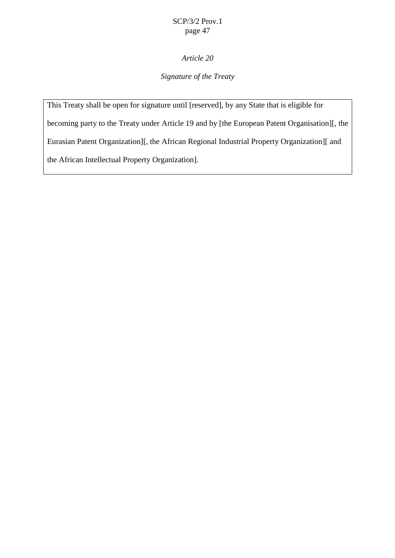## *Article 20*

## *Signature of the Treaty*

This Treaty shall be open for signature until [reserved], by any State that is eligible for becoming party to the Treaty under Article 19 and by [the European Patent Organisation][, the Eurasian Patent Organization][, the African Regional Industrial Property Organization][ and the African Intellectual Property Organization].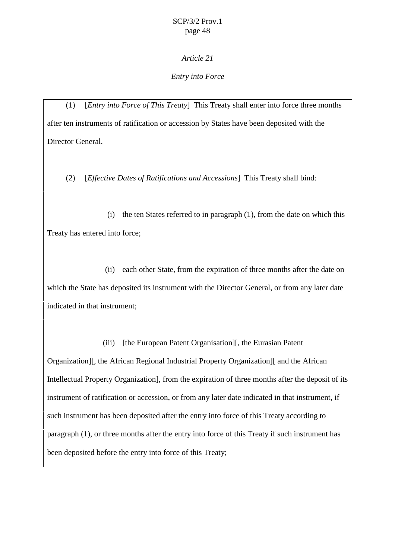#### *Article 21*

#### *Entry into Force*

(1) [*Entry into Force of This Treaty*] This Treaty shall enter into force three months after ten instruments of ratification or accession by States have been deposited with the Director General.

(2) [*Effective Dates of Ratifications and Accessions*] This Treaty shall bind:

(i) the ten States referred to in paragraph (1), from the date on which this Treaty has entered into force;

(ii) each other State, from the expiration of three months after the date on which the State has deposited its instrument with the Director General, or from any later date indicated in that instrument;

(iii) [the European Patent Organisation][, the Eurasian Patent

Organization][, the African Regional Industrial Property Organization][ and the African Intellectual Property Organization], from the expiration of three months after the deposit of its instrument of ratification or accession, or from any later date indicated in that instrument, if such instrument has been deposited after the entry into force of this Treaty according to paragraph (1), or three months after the entry into force of this Treaty if such instrument has been deposited before the entry into force of this Treaty;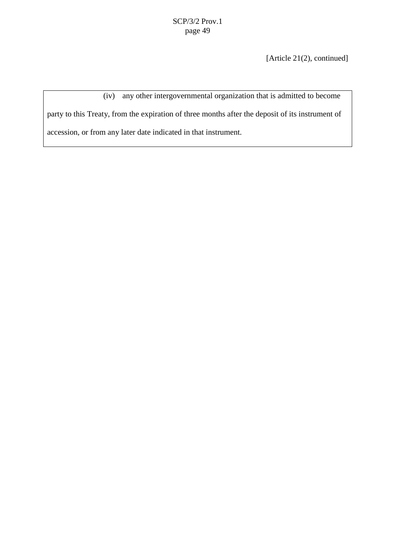[Article 21(2), continued]

(iv) any other intergovernmental organization that is admitted to become party to this Treaty, from the expiration of three months after the deposit of its instrument of accession, or from any later date indicated in that instrument.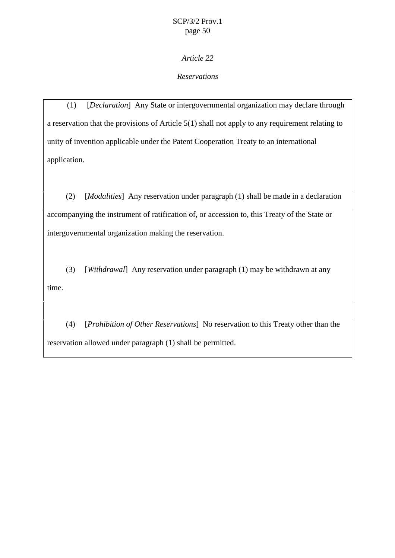*Article 22*

## *Reservations*

(1) [*Declaration*] Any State or intergovernmental organization may declare through a reservation that the provisions of Article 5(1) shall not apply to any requirement relating to unity of invention applicable under the Patent Cooperation Treaty to an international application.

(2) [*Modalities*] Any reservation under paragraph (1) shall be made in a declaration accompanying the instrument of ratification of, or accession to, this Treaty of the State or intergovernmental organization making the reservation.

(3) [*Withdrawal*] Any reservation under paragraph (1) may be withdrawn at any time.

(4) [*Prohibition of Other Reservations*] No reservation to this Treaty other than the reservation allowed under paragraph (1) shall be permitted.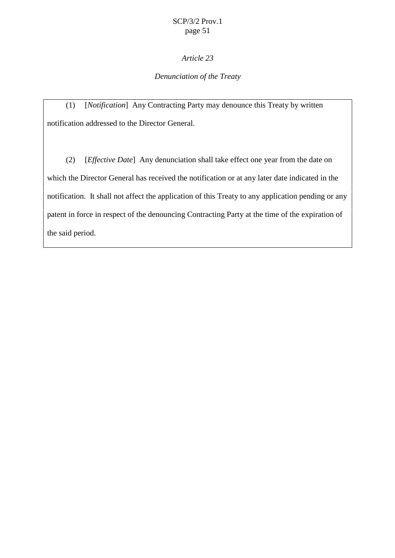## *Article 23*

## *Denunciation of the Treaty*

(1) [*Notification*] Any Contracting Party may denounce this Treaty by written notification addressed to the Director General.

(2) [*Effective Date*] Any denunciation shall take effect one year from the date on which the Director General has received the notification or at any later date indicated in the notification. It shall not affect the application of this Treaty to any application pending or any patent in force in respect of the denouncing Contracting Party at the time of the expiration of the said period.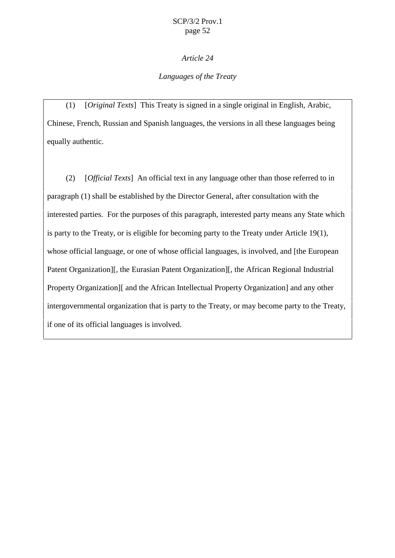#### *Article 24*

## *Languages of the Treaty*

(1) [*Original Texts*] This Treaty is signed in a single original in English, Arabic, Chinese, French, Russian and Spanish languages, the versions in all these languages being equally authentic.

(2) [*Official Texts*] An official text in any language other than those referred to in paragraph (1) shall be established by the Director General, after consultation with the interested parties. For the purposes of this paragraph, interested party means any State which is party to the Treaty, or is eligible for becoming party to the Treaty under Article 19(1), whose official language, or one of whose official languages, is involved, and [the European Patent Organization][, the Eurasian Patent Organization][, the African Regional Industrial Property Organization][ and the African Intellectual Property Organization] and any other intergovernmental organization that is party to the Treaty, or may become party to the Treaty, if one of its official languages is involved.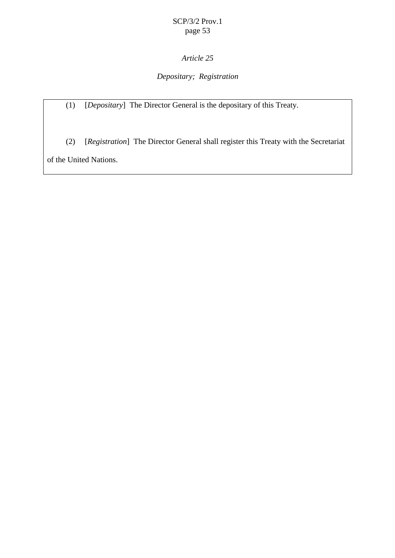# *Article 25*

## *Depositary; Registration*

(1) [*Depositary*] The Director General is the depositary of this Treaty.

(2) [*Registration*] The Director General shall register this Treaty with the Secretariat of the United Nations.